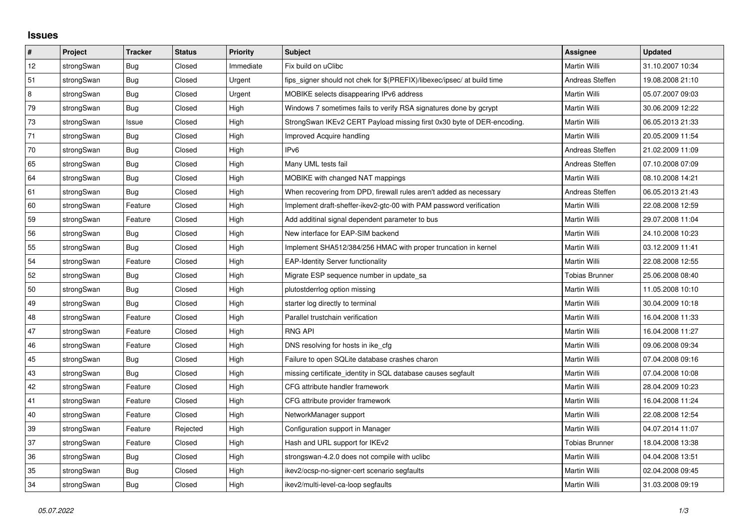## **Issues**

| $\vert$ # | Project    | <b>Tracker</b> | <b>Status</b> | Priority  | <b>Subject</b>                                                          | Assignee              | <b>Updated</b>   |
|-----------|------------|----------------|---------------|-----------|-------------------------------------------------------------------------|-----------------------|------------------|
| 12        | strongSwan | Bug            | Closed        | Immediate | Fix build on uClibc                                                     | Martin Willi          | 31.10.2007 10:34 |
| 51        | strongSwan | Bug            | Closed        | Urgent    | fips signer should not chek for \$(PREFIX)/libexec/ipsec/ at build time | Andreas Steffen       | 19.08.2008 21:10 |
| 8         | strongSwan | Bug            | Closed        | Urgent    | MOBIKE selects disappearing IPv6 address                                | Martin Willi          | 05.07.2007 09:03 |
| 79        | strongSwan | Bug            | Closed        | High      | Windows 7 sometimes fails to verify RSA signatures done by gcrypt       | Martin Willi          | 30.06.2009 12:22 |
| 73        | strongSwan | Issue          | Closed        | High      | StrongSwan IKEv2 CERT Payload missing first 0x30 byte of DER-encoding.  | Martin Willi          | 06.05.2013 21:33 |
| 71        | strongSwan | Bug            | Closed        | High      | Improved Acquire handling                                               | Martin Willi          | 20.05.2009 11:54 |
| 70        | strongSwan | <b>Bug</b>     | Closed        | High      | IPv <sub>6</sub>                                                        | Andreas Steffen       | 21.02.2009 11:09 |
| 65        | strongSwan | <b>Bug</b>     | Closed        | High      | Many UML tests fail                                                     | Andreas Steffen       | 07.10.2008 07:09 |
| 64        | strongSwan | Bug            | Closed        | High      | MOBIKE with changed NAT mappings                                        | Martin Willi          | 08.10.2008 14:21 |
| 61        | strongSwan | Bug            | Closed        | High      | When recovering from DPD, firewall rules aren't added as necessary      | Andreas Steffen       | 06.05.2013 21:43 |
| 60        | strongSwan | Feature        | Closed        | High      | Implement draft-sheffer-ikev2-gtc-00 with PAM password verification     | Martin Willi          | 22.08.2008 12:59 |
| 59        | strongSwan | Feature        | Closed        | High      | Add additinal signal dependent parameter to bus                         | Martin Willi          | 29.07.2008 11:04 |
| 56        | strongSwan | <b>Bug</b>     | Closed        | High      | New interface for EAP-SIM backend                                       | Martin Willi          | 24.10.2008 10:23 |
| 55        | strongSwan | <b>Bug</b>     | Closed        | High      | Implement SHA512/384/256 HMAC with proper truncation in kernel          | Martin Willi          | 03.12.2009 11:41 |
| 54        | strongSwan | Feature        | Closed        | High      | <b>EAP-Identity Server functionality</b>                                | Martin Willi          | 22.08.2008 12:55 |
| 52        | strongSwan | Bug            | Closed        | High      | Migrate ESP sequence number in update_sa                                | <b>Tobias Brunner</b> | 25.06.2008 08:40 |
| 50        | strongSwan | Bug            | Closed        | High      | plutostderrlog option missing                                           | Martin Willi          | 11.05.2008 10:10 |
| 49        | strongSwan | Bug            | Closed        | High      | starter log directly to terminal                                        | Martin Willi          | 30.04.2009 10:18 |
| 48        | strongSwan | Feature        | Closed        | High      | Parallel trustchain verification                                        | Martin Willi          | 16.04.2008 11:33 |
| 47        | strongSwan | Feature        | Closed        | High      | <b>RNG API</b>                                                          | Martin Willi          | 16.04.2008 11:27 |
| 46        | strongSwan | Feature        | Closed        | High      | DNS resolving for hosts in ike cfg.                                     | Martin Willi          | 09.06.2008 09:34 |
| 45        | strongSwan | Bug            | Closed        | High      | Failure to open SQLite database crashes charon                          | Martin Willi          | 07.04.2008 09:16 |
| 43        | strongSwan | Bug            | Closed        | High      | missing certificate identity in SQL database causes segfault            | Martin Willi          | 07.04.2008 10:08 |
| 42        | strongSwan | Feature        | Closed        | High      | CFG attribute handler framework                                         | Martin Willi          | 28.04.2009 10:23 |
| 41        | strongSwan | Feature        | Closed        | High      | CFG attribute provider framework                                        | Martin Willi          | 16.04.2008 11:24 |
| 40        | strongSwan | Feature        | Closed        | High      | NetworkManager support                                                  | Martin Willi          | 22.08.2008 12:54 |
| 39        | strongSwan | Feature        | Rejected      | High      | Configuration support in Manager                                        | Martin Willi          | 04.07.2014 11:07 |
| 37        | strongSwan | Feature        | Closed        | High      | Hash and URL support for IKEv2                                          | <b>Tobias Brunner</b> | 18.04.2008 13:38 |
| 36        | strongSwan | <b>Bug</b>     | Closed        | High      | strongswan-4.2.0 does not compile with uclibc                           | Martin Willi          | 04.04.2008 13:51 |
| 35        | strongSwan | Bug            | Closed        | High      | ikev2/ocsp-no-signer-cert scenario segfaults                            | Martin Willi          | 02.04.2008 09:45 |
| 34        | strongSwan | Bug            | Closed        | High      | ikev2/multi-level-ca-loop segfaults                                     | Martin Willi          | 31.03.2008 09:19 |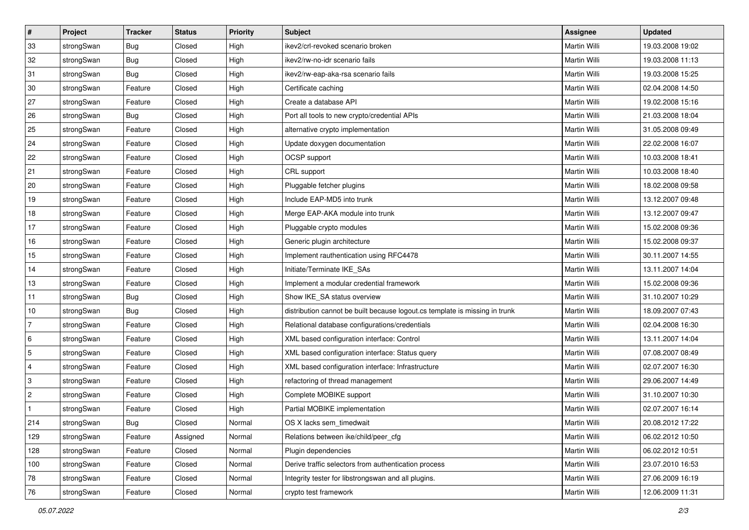| $\vert$ #      | Project    | <b>Tracker</b> | <b>Status</b> | <b>Priority</b> | <b>Subject</b>                                                              | Assignee            | <b>Updated</b>   |
|----------------|------------|----------------|---------------|-----------------|-----------------------------------------------------------------------------|---------------------|------------------|
| 33             | strongSwan | Bug            | Closed        | High            | ikev2/crl-revoked scenario broken                                           | Martin Willi        | 19.03.2008 19:02 |
| 32             | strongSwan | Bug            | Closed        | High            | ikev2/rw-no-idr scenario fails                                              | <b>Martin Willi</b> | 19.03.2008 11:13 |
| 31             | strongSwan | <b>Bug</b>     | Closed        | High            | ikev2/rw-eap-aka-rsa scenario fails                                         | Martin Willi        | 19.03.2008 15:25 |
| 30             | strongSwan | Feature        | Closed        | High            | Certificate caching                                                         | Martin Willi        | 02.04.2008 14:50 |
| 27             | strongSwan | Feature        | Closed        | High            | Create a database API                                                       | Martin Willi        | 19.02.2008 15:16 |
| 26             | strongSwan | <b>Bug</b>     | Closed        | High            | Port all tools to new crypto/credential APIs                                | Martin Willi        | 21.03.2008 18:04 |
| 25             | strongSwan | Feature        | Closed        | High            | alternative crypto implementation                                           | Martin Willi        | 31.05.2008 09:49 |
| 24             | strongSwan | Feature        | Closed        | High            | Update doxygen documentation                                                | Martin Willi        | 22.02.2008 16:07 |
| 22             | strongSwan | Feature        | Closed        | High            | OCSP support                                                                | Martin Willi        | 10.03.2008 18:41 |
| 21             | strongSwan | Feature        | Closed        | High            | CRL support                                                                 | Martin Willi        | 10.03.2008 18:40 |
| 20             | strongSwan | Feature        | Closed        | High            | Pluggable fetcher plugins                                                   | Martin Willi        | 18.02.2008 09:58 |
| 19             | strongSwan | Feature        | Closed        | High            | Include EAP-MD5 into trunk                                                  | Martin Willi        | 13.12.2007 09:48 |
| 18             | strongSwan | Feature        | Closed        | High            | Merge EAP-AKA module into trunk                                             | <b>Martin Willi</b> | 13.12.2007 09:47 |
| 17             | strongSwan | Feature        | Closed        | High            | Pluggable crypto modules                                                    | Martin Willi        | 15.02.2008 09:36 |
| 16             | strongSwan | Feature        | Closed        | High            | Generic plugin architecture                                                 | <b>Martin Willi</b> | 15.02.2008 09:37 |
| 15             | strongSwan | Feature        | Closed        | High            | Implement rauthentication using RFC4478                                     | Martin Willi        | 30.11.2007 14:55 |
| 14             | strongSwan | Feature        | Closed        | High            | Initiate/Terminate IKE SAs                                                  | <b>Martin Willi</b> | 13.11.2007 14:04 |
| 13             | strongSwan | Feature        | Closed        | High            | Implement a modular credential framework                                    | Martin Willi        | 15.02.2008 09:36 |
| 11             | strongSwan | <b>Bug</b>     | Closed        | High            | Show IKE_SA status overview                                                 | Martin Willi        | 31.10.2007 10:29 |
| 10             | strongSwan | <b>Bug</b>     | Closed        | High            | distribution cannot be built because logout.cs template is missing in trunk | Martin Willi        | 18.09.2007 07:43 |
| 7              | strongSwan | Feature        | Closed        | High            | Relational database configurations/credentials                              | Martin Willi        | 02.04.2008 16:30 |
| 6              | strongSwan | Feature        | Closed        | High            | XML based configuration interface: Control                                  | Martin Willi        | 13.11.2007 14:04 |
| 5              | strongSwan | Feature        | Closed        | High            | XML based configuration interface: Status query                             | Martin Willi        | 07.08.2007 08:49 |
| 4              | strongSwan | Feature        | Closed        | High            | XML based configuration interface: Infrastructure                           | Martin Willi        | 02.07.2007 16:30 |
| 3              | strongSwan | Feature        | Closed        | High            | refactoring of thread management                                            | Martin Willi        | 29.06.2007 14:49 |
| $\overline{2}$ | strongSwan | Feature        | Closed        | High            | Complete MOBIKE support                                                     | Martin Willi        | 31.10.2007 10:30 |
|                | strongSwan | Feature        | Closed        | High            | Partial MOBIKE implementation                                               | Martin Willi        | 02.07.2007 16:14 |
| 214            | strongSwan | <b>Bug</b>     | Closed        | Normal          | OS X lacks sem_timedwait                                                    | Martin Willi        | 20.08.2012 17:22 |
| 129            | strongSwan | Feature        | Assigned      | Normal          | Relations between ike/child/peer cfg                                        | Martin Willi        | 06.02.2012 10:50 |
| 128            | strongSwan | Feature        | Closed        | Normal          | Plugin dependencies                                                         | Martin Willi        | 06.02.2012 10:51 |
| 100            | strongSwan | Feature        | Closed        | Normal          | Derive traffic selectors from authentication process                        | Martin Willi        | 23.07.2010 16:53 |
| 78             | strongSwan | Feature        | Closed        | Normal          | Integrity tester for libstrongswan and all plugins.                         | Martin Willi        | 27.06.2009 16:19 |
| 76             | strongSwan | Feature        | Closed        | Normal          | crypto test framework                                                       | Martin Willi        | 12.06.2009 11:31 |